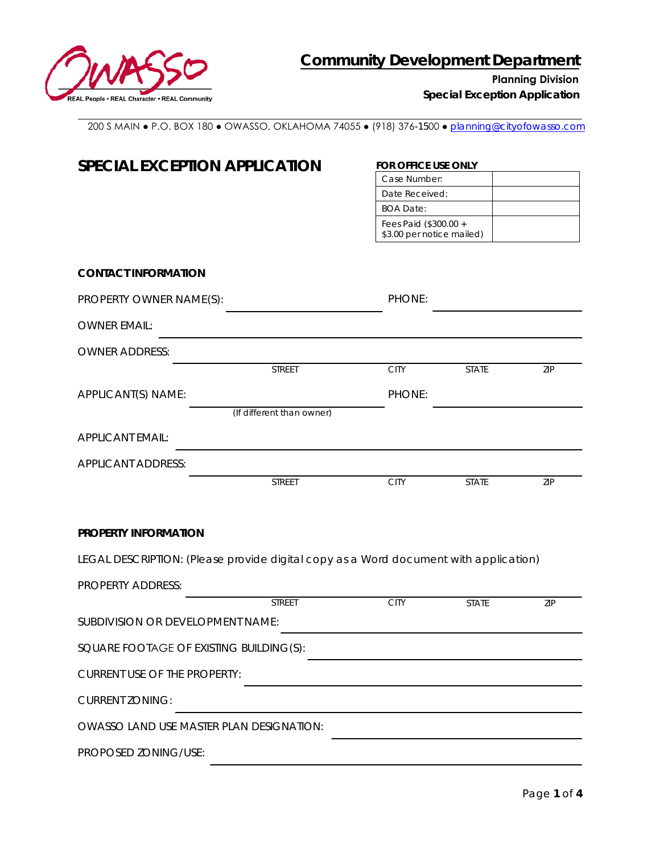

**Planning Division**

*Special Exception Application* 

200 S MAIN ● P.O. BOX 180 ● OWASSO, OKLAHOMA 74055 ● (918) 376-1500 ● [planning@cityofowasso.com](mailto:planning@cityofowasso.com)

| <b>SPECIAL EXCEPTION APPLICATION</b>                                                 | FOR OFFICE USE ONLY<br>Case Number:                |              |            |  |
|--------------------------------------------------------------------------------------|----------------------------------------------------|--------------|------------|--|
|                                                                                      |                                                    |              |            |  |
|                                                                                      | Date Received:                                     |              |            |  |
|                                                                                      | <b>BOA Date:</b>                                   |              |            |  |
|                                                                                      | Fees Paid (\$300.00 +<br>\$3.00 per notice mailed) |              |            |  |
|                                                                                      |                                                    |              |            |  |
| <b>CONTACT INFORMATION</b>                                                           |                                                    |              |            |  |
| PROPERTY OWNER NAME(S):                                                              | PHONE:                                             |              |            |  |
| <b>OWNER EMAIL:</b>                                                                  |                                                    |              |            |  |
| <b>OWNER ADDRESS:</b>                                                                |                                                    |              |            |  |
| <b>STREET</b>                                                                        | <b>CITY</b>                                        | <b>STATE</b> | <b>ZIP</b> |  |
| APPLICANT(S) NAME:                                                                   | PHONE:                                             |              |            |  |
| (If different than owner)                                                            |                                                    |              |            |  |
| <b>APPLICANT EMAIL:</b>                                                              |                                                    |              |            |  |
| <b>APPLICANT ADDRESS:</b>                                                            |                                                    |              |            |  |
| <b>STREET</b>                                                                        | <b>CITY</b>                                        | <b>STATE</b> | ZIP        |  |
|                                                                                      |                                                    |              |            |  |
| PROPERTY INFORMATION                                                                 |                                                    |              |            |  |
|                                                                                      |                                                    |              |            |  |
| LEGAL DESCRIPTION: (Please provide digital copy as a Word document with application) |                                                    |              |            |  |
| <b>PROPERTY ADDRESS:</b>                                                             |                                                    |              |            |  |
| <b>STREET</b>                                                                        | <b>CITY</b>                                        | <b>STATE</b> | ZIP        |  |
| SUBDIVISION OR DEVELOPMENT NAME:                                                     |                                                    |              |            |  |
| SQUARE FOOTAGE OF EXISTING BUILDING(S):                                              |                                                    |              |            |  |
| <b>CURRENT USE OF THE PROPERTY:</b>                                                  |                                                    |              |            |  |
| <b>CURRENT ZONING:</b>                                                               |                                                    |              |            |  |
| OWASSO LAND USE MASTER PLAN DESIGNATION:                                             |                                                    |              |            |  |
| PROPOSED ZONING/USE:                                                                 |                                                    |              |            |  |
|                                                                                      |                                                    |              |            |  |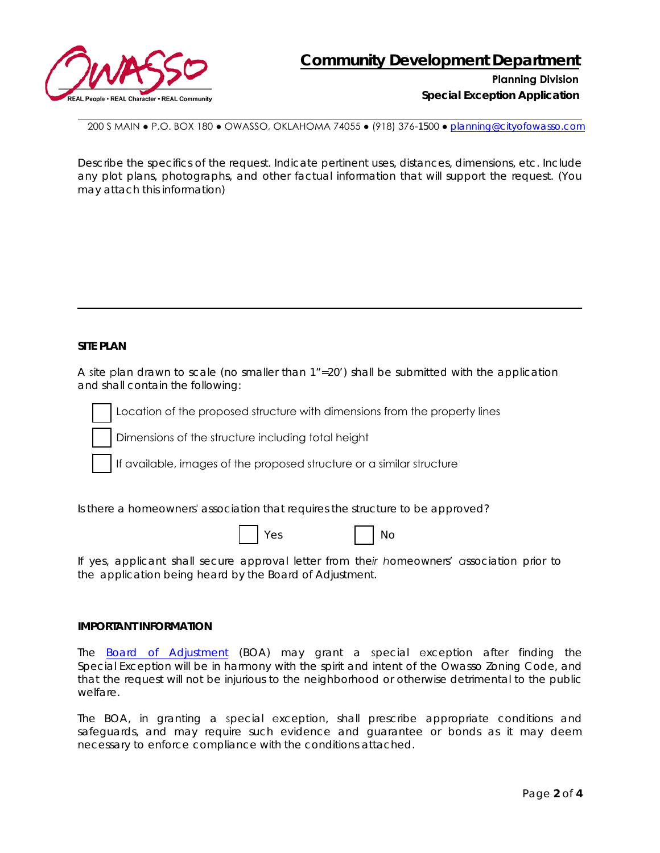

**Planning Division**

*Special Exception Application*

200 S MAIN ● P.O. BOX 180 ● OWASSO, OKLAHOMA 74055 ● (918) 376-1500 ● [planning@cityofowasso.com](mailto:planning@cityofowasso.com)

Describe the specifics of the request. Indicate pertinent uses, distances, dimensions, etc. Include any plot plans, photographs, and other factual information that will support the request. (You may attach this information)

## **SITE PLAN**

A site plan drawn to scale (no smaller than 1"=20') shall be submitted with the application and shall contain the following:



Location of the proposed structure with dimensions from the property lines

Dimensions of the structure including total height

If available, images of the proposed structure or a similar structure

Is there a homeowners' association that requires the structure to be approved?

| ۰.<br>٧<br>× |
|--------------|
|--------------|

Yes No

*If yes, applicant shall secure approval letter from their homeowners' association prior to the application being heard by the Board of Adjustment.*

#### **IMPORTANT INFORMATION**

The [Board of Adjustment](https://www.cityofowasso.com/569/Board-of-Adjustment) (BOA) may grant a special exception after finding the Special Exception will be in harmony with the spirit and intent of the Owasso Zoning Code, and that the request will not be injurious to the neighborhood or otherwise detrimental to the public welfare.

The BOA, in granting a special exception, shall prescribe appropriate conditions and safeguards, and may require such evidence and guarantee or bonds as it may deem necessary to enforce compliance with the conditions attached.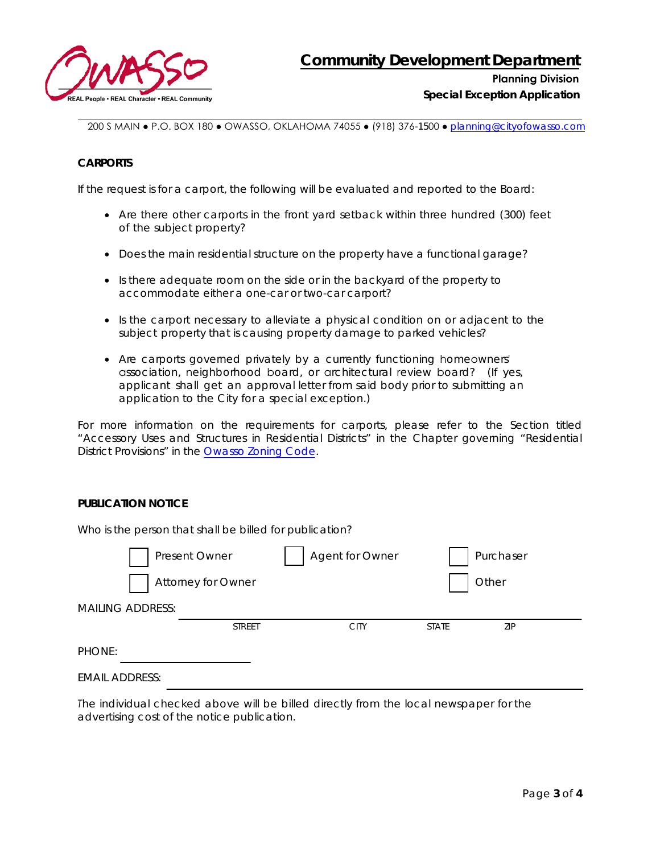

*Special Exception Application* 

200 S MAIN ● P.O. BOX 180 ● OWASSO, OKLAHOMA 74055 ● (918) 376-1500 ● [planning@cityofowasso.com](mailto:planning@cityofowasso.com)

## **CARPORTS**

If the request is for a carport, the following will be evaluated and reported to the Board:

- Are there other carports in the front yard setback within three hundred (300) feet of the subject property?
- Does the main residential structure on the property have a functional garage?
- Is there adequate room on the side or in the backyard of the property to accommodate either a one-car or two-car carport?
- Is the carport necessary to alleviate a physical condition on or adjacent to the subject property that is causing property damage to parked vehicles?
- Are carports governed privately by a currently functioning homeowners' association, neighborhood board, or architectural review board? (If yes, applicant shall get an approval letter from said body prior to submitting an application to the City for a special exception.)

For more information on the requirements for carports, please refer to the Section titled "Accessory Uses and Structures in Residential Districts" in the Chapter governing "Residential District Provisions" in the [Owasso Zoning Code.](https://cityofowasso.com/DocumentCenter/View/2378/Owasso-Zoning-Code?bidId=)

### **PUBLICATION NOTICE**

| Who is the person that shall be billed for publication? |                           |                 |              |           |  |  |
|---------------------------------------------------------|---------------------------|-----------------|--------------|-----------|--|--|
|                                                         | Present Owner             | Agent for Owner |              | Purchaser |  |  |
|                                                         | <b>Attorney for Owner</b> |                 |              | Other     |  |  |
| <b>MAILING ADDRESS:</b>                                 |                           |                 |              |           |  |  |
|                                                         | <b>STREET</b>             | <b>CITY</b>     | <b>STATE</b> | ZIP       |  |  |
| PHONE:                                                  |                           |                 |              |           |  |  |
| <b>EMAIL ADDRESS:</b>                                   |                           |                 |              |           |  |  |

*The individual checked above will be billed directly from the local newspaper for the advertising cost of the notice publication.*